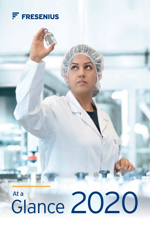

# Ata<br>Glance 2020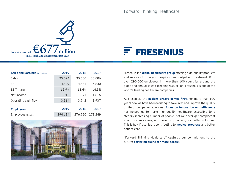



| Sales and Earnings in $\epsilon$ millions | 2019    | 2018    | 2017    |
|-------------------------------------------|---------|---------|---------|
| Sales                                     | 35,524  | 33,530  | 33,886  |
| FBIT                                      | 4,599   | 4.561   | 4,830   |
| <b>EBIT</b> margin                        | 12.9%   | 13.6%   | 14.3%   |
| Net income                                | 1,915   | 1,871   | 1,816   |
| Operating cash flow                       | 3.514   | 3,742   | 3,937   |
|                                           |         |         |         |
| <b>Employees</b>                          | 2019    | 2018    | 2017    |
| Employees (Dec. 31)                       | 294,134 | 276,750 | 273,249 |



Fresenius is a **global healthcare group** offering high-quality products and services for dialysis, hospitals, and outpatient treatment. With over 290,000 employees in more than 100 countries around the globe and annual sales exceeding €35 billion, Fresenius is one of the world's leading healthcare companies.

At Fresenius, the **patient always comes first.** For more than 100 years now we have been working to save lives and improve the quality of life of our patients. A clear **focus on innovation and efficiency** has helped us to make high-quality healthcare accessible to a steadily increasing number of people. Yet we never get complacent about our successes, and never stop looking for better solutions. This is how Fresenius is contributing to **medical progress** and better patient care.

"Forward Thinking Healthcare" captures our commitment to the future: **better medicine for more people.**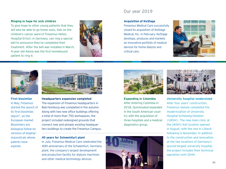## **Ringing in hope for sick children**

To give hope to other young patients that they will also be able to go home soon, kids on the children's cancer ward of Fresenius Helios Hospital Erfurt, in Germany, can ring a special bell to announce they've completed their treatment. After the bell was installed in March, 4-year-old Alexia was the first homebound patient to ring it.



## Our year 2019

## **Acquisition of NxStage**

Fresenius Medical Care successfully closed its acquisition of NxStage Medical, Inc. in February. NxStage develops, produces and markets an innovative portfolio of medical devices for home dialysis and critical care.





**First biosimilar** In May, Fresenius started the launch of its first biosimilar, Idacio®, on the European market. Biosimilars are biological follow-on versions of biopharmaceuticals whose patents have expired.



**Headquarters expansion completed** The expansion of Fresenius headquarters in Bad Homburg was completed in the autumn. Along with two new office buildings offering a total of more than 750 workspaces, the project included redesigned grounds that connect new and already existing headquarters buildings to create the Fresenius Campus.

#### **40 years for Schweinfurt plant**

In July, Fresenius Medical Care celebrated the 40th anniversary of the Schweinfurt, Germany plant, the company's largest development and production facility for dialysis machines and other medical technology devices.



**Expanding in Colombia** After entering Colombia in 2018, Quirónsalud expanded in the South American country with the acquisition of three hospitals and a medical diagnostics group.



**University hospital modernized** After four years' construction, Fresenius Vamed completed the modernization of University Hospital Schleswig-Holstein (UKSH). The new main clinic at the UKSH's Kiel location opened in August, with the one in Lübeck following in November. In addition to the construction and renovation at the two locations of Germany's second-largest university hospital, the project includes their technical operation until 2044.

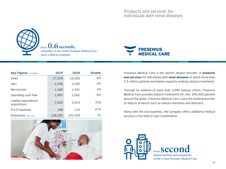

**Every 0.6 seconds, somewhere in the world, Fresenius Medical Care starts a dialysis treatment.**



| <b>Key Figures</b> in $\epsilon$ millions | 2019    | 2018    | Growth |
|-------------------------------------------|---------|---------|--------|
| Sales                                     | 17,329  | 16,026  | 8%     |
| <b>EBIT</b>                               | 2,296   | 2,292   | 0%     |
| Net income                                | 1,369   | 1,341   | 2%     |
| Operating cash flow                       | 1,947   | 2.062   | $-6%$  |
| Capital expenditure/<br>acquisitions      | 3,422   | 2.014   | 70%    |
| R & D expenses                            | 168     | 114     | 47%    |
| $Emplovees$ (Dec. 31)                     | 128,300 | 120,328 | 7%     |



Fresenius Medical Care is the world's largest provider of **products and services** for individuals with **renal diseases** of which more than 3.5 million patients worldwide regularly undergo dialysis treatment.

Through its network of more than 3,990 dialysis clinics, Fresenius Medical Care provides dialysis treatments for over 345,000 patients around the globe. Fresenius Medical Care is also the leading provider of dialysis products such as dialysis machines and dialyzers.

Along with the core business, the Company offers additional medical services in the field of Care Coordination.



**Every Seco dialysis machine used around the world is from Fresenius Medical Care.**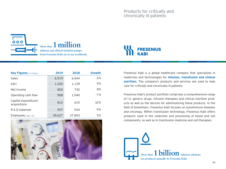$000$ 





| <b>Key Figures</b> in € millions     | 2019   | 2018   | Growth |
|--------------------------------------|--------|--------|--------|
| Sales                                | 6,919  | 6.544  | 6%     |
| EBIT                                 | 1,200  | 1,139  | 5%     |
| Net income                           | 802    | 742    | 8%     |
| Operating cash flow                  | 968    | 1,040  | $-7%$  |
| Capital expenditure/<br>acquisitions | 812    | 615    | 32%    |
| R & D expenses                       | 507    | 534    | $-5%$  |
| Employees (Dec. 31)                  | 39,627 | 37.843 | 5%     |



Fresenius Kabi is a global healthcare company that specializes in medicines and technologies for **infusion, transfusion and clinical nutrition.** The company's products and services are used to help care for critically and chronically ill patients.

Fresenius Kabi's product portfolio comprises a comprehensive range of I.V. generic drugs, infusion therapies and clinical nutrition products as well as the devices for administering these products. In the field of biosimilars, Fresenius Kabi focuses on autoimmune diseases and oncology. Within transfusion technology, Fresenius Kabi offers products used in the collection and processing of blood and cell components, as well as in transfusion medicine and cell therapies.

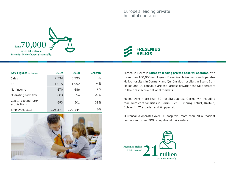



| <b>Key Figures</b> in $\epsilon$ millions | 2019    | 2018    | Growth |
|-------------------------------------------|---------|---------|--------|
| Sales                                     | 9,234   | 8,993   | 3%     |
| EBIT                                      | 1,015   | 1,052   | $-4%$  |
| Net income                                | 670     | 686     | $-2%$  |
| Operating cash flow                       | 683     | 554     | 23%    |
| Capital expenditure/<br>acquisitions      | 693     | 501     | 38%    |
| Employees (Dec. 31)                       | 106,377 | 100.144 | 6%     |



Fresenius Helios is **Europe's leading private hospital operator,** with more than 100,000 employees. Fresenius Helios owns and operates Helios hospitals in Germany and Quirónsalud hospitals in Spain. Both Helios and Quirónsalud are the largest private hospital operators in their respective national markets.

Helios owns more than 80 hospitals across Germany – including maximum care facilities in Berlin-Buch, Duisburg, Erfurt, Krefeld, Schwerin, Wiesbaden and Wuppertal.

Quirónsalud operates over 50 hospitals, more than 70 outpatient centers and some 300 occupational risk centers.

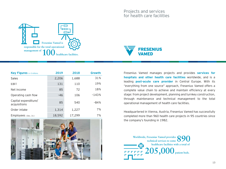



| <b>Key Figures</b> in $\epsilon$ millions | 2019   | 2018   | Growth  |
|-------------------------------------------|--------|--------|---------|
| Sales                                     | 2,206  | 1,688  | 31%     |
| EBIT                                      | 131    | 110    | 19%     |
| Net income                                | 85     | 72     | 18%     |
| Operating cash flow                       | $-46$  | 106    | $-143%$ |
| Capital expenditure/<br>acquisitions      | 85     | 540    | $-84%$  |
| Order intake                              | 1,314  | 1,227  | 7%      |
| $Emplovees$ (Dec. 31)                     | 18,592 | 17.299 | 7%      |



Fresenius Vamed manages projects and provides **services for hospitals and other health care facilities** worldwide, and is a leading **post-acute care provider** in Central Europe. With its "everything from one source" approach, Fresenius Vamed offers a complete value chain to achieve and maintain efficiency at every stage: from project development, planning and turnkey construction, through maintenance and technical management to the total operational management of health care facilities.

Headquartered in Vienna, Austria, Fresenius Vamed has successfully completed more than 960 health care projects in 95 countries since the company's founding in 1982.

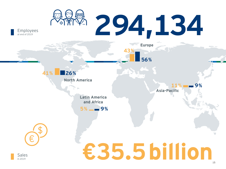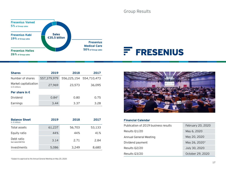Group Results

**Financial Calendar**



| <b>Shares</b>                                 | 2019        | 2018                    | 2017   |
|-----------------------------------------------|-------------|-------------------------|--------|
| Number of shares                              | 557.379.979 | 556,225,154 554,710,473 |        |
| Market capitalization<br>in $\notin$ millions | 27,969      | 23,573                  | 36,095 |
| Per share in $\epsilon$                       |             |                         |        |
| Dividend                                      | $0.84*$     | 0.80                    | 0.75   |
| Earnings                                      | 3.44        | 3.37                    | 3.28   |

| <b>Balance Sheet</b><br>in $\notin$ millions | 2019   | 2018   | 2017   |
|----------------------------------------------|--------|--------|--------|
| Total assets                                 | 61,237 | 56,703 | 53,133 |
| Equity ratio                                 | 44%    | 44%    | 41%    |
| Debt ratio<br>Net debt/EBITDA                | 3.14   | 2.71   | 2.84   |
| Investments                                  | 5,086  | 3,249  | 8,680  |





| <u>Filiantial Calchual</u>           |                   |  |
|--------------------------------------|-------------------|--|
| Publication of 2019 business results | February 20, 2020 |  |
| Results Q1/20                        | May 6, 2020       |  |
| Annual General Meeting               | May 20, 2020      |  |
| Dividend payment                     | May 26, 2020*     |  |
| Results Q2/20                        | July 30, 2020     |  |
| Results Q3/20                        | October 29, 2020  |  |
|                                      |                   |  |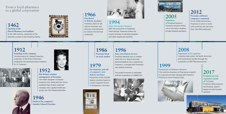From a local pharmacy to a global corporation

**1462 Opening of the Hirsch Pharmacy in Frankfurt** In the 19th century, ownership of the pharmacy passes to the Fresenius family.



**1966 Distributor of dialysis machines**  Fresenius starts to sell dialysis machines and dialyzers manufactured by various non-German companies.



**1994**

**Entry into project business** With the acquisition of Hospitalia International, Fresenius enters the project business to develop hospitals and other healthcare facilities.

**1986 Fresenius listed on stock market**

**Development and sale of company's own dialysis machines**  Production of the A2008 dialysis machine begins in a newly acquired factory in Schweinfurt, Germany.



**1996 Entry into Dialysis Services**  Fresenius Medical Care is created

when the U.S. dialysis provider National Medical Care, acquired by Fresenius, is merged with Fresenius' own dialysis business.

The project business is expanded with the acquisition of VAMED AG.





# **2005 Expansion of hospital business** Fresenius acquires Helios,

one of Germany's leading private hospital operators. **2012 Fresenius celebrates company's centennial**  On its 100th anniversary, Fresenius is active in some 100 countries and has more than 160,000 employees.

**2008 Expansion in I.V. generics** Fresenius Kabi enters the North American pharmaceuticals market through the acquisition of APP Pharmaceuticals.

# **1999**

**Expansion of infusions business**

The nutrition business of Pharmacia & Upjohn is acquired and then merged with Fresenius Pharma to form Fresenius Kabi.



**2017 Hospital network expanded outside of Germany** Fresenius Helios acquires Quirónsalud, Spain's largest private hospital operator.



**1912 Founding of the company** The pharmacist Dr. Eduard Fresenius, proprietor of the Hirsch Pharmacy, establishes the pharmaceutical company Dr. E. Fresenius.





**1952** 

**Else Kröner assumes management of Fresenius** The foster daughter of Eduard

husband Hans Kröner, build the company into a global healthcare group over the following decades.

**1946** 

**Death of the company's founder, Eduard Fresenius**



Fresenius will, along with her future

**1979**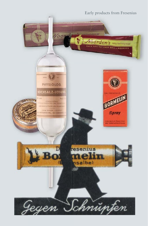